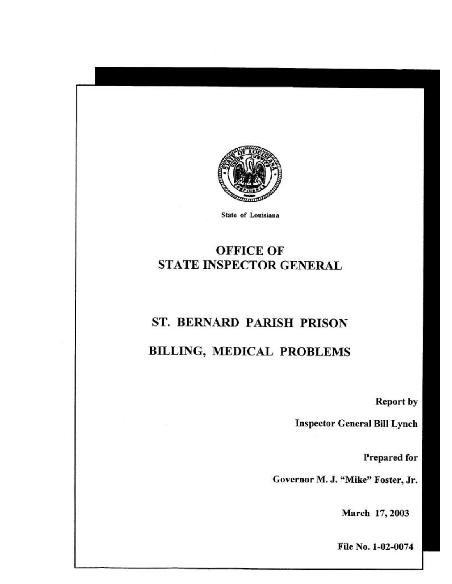

State of Louisiana

# **OFFICE OF** STATE INSPECTOR GENERAL

# ST. BERNARD PARISH PRISON

# **BILLING, MEDICAL PROBLEMS**

**Report by** 

**Inspector General Bill Lynch** 

Prepared for

Governor M. J. "Mike" Foster, Jr.

March 17, 2003

File No. 1-02-0074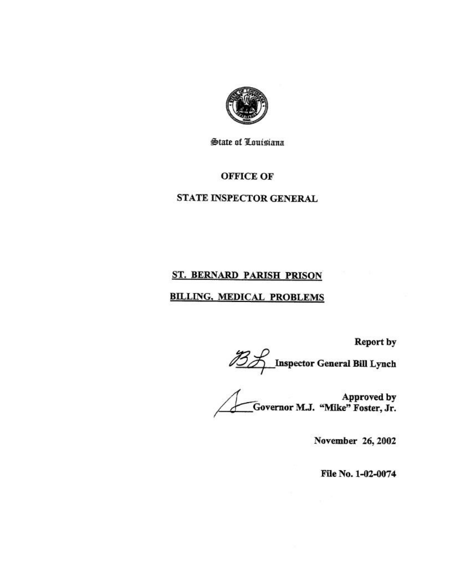

**State of Louisiana** 

## **OFFICE OF**

## STATE INSPECTOR GENERAL

# ST. BERNARD PARISH PRISON

## **BILLING, MEDICAL PROBLEMS**

Report by<br>
23<br>
Inspector General Bill Lynch<br>
Computer Computer Computer Services<br>
Computer Computer Services<br>
Computer Services<br>
Computer Services<br>
Computer Services<br>
Computer Services<br>
Computer Services<br>
Computer Services Approved by<br>.Governor M.J. "Mike" Foster, Jr.

November 26, 2002

File No. 1-02-0074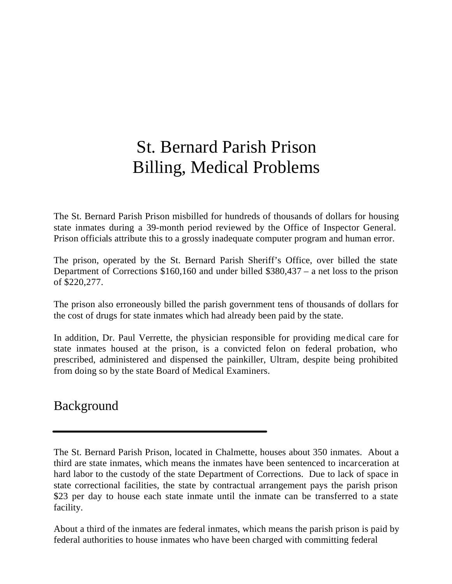# St. Bernard Parish Prison Billing, Medical Problems

The St. Bernard Parish Prison misbilled for hundreds of thousands of dollars for housing state inmates during a 39-month period reviewed by the Office of Inspector General. Prison officials attribute this to a grossly inadequate computer program and human error.

The prison, operated by the St. Bernard Parish Sheriff's Office, over billed the state Department of Corrections \$160,160 and under billed \$380,437 – a net loss to the prison of \$220,277.

The prison also erroneously billed the parish government tens of thousands of dollars for the cost of drugs for state inmates which had already been paid by the state.

In addition, Dr. Paul Verrette, the physician responsible for providing me dical care for state inmates housed at the prison, is a convicted felon on federal probation, who prescribed, administered and dispensed the painkiller, Ultram, despite being prohibited from doing so by the state Board of Medical Examiners.

Background

.

About a third of the inmates are federal inmates, which means the parish prison is paid by federal authorities to house inmates who have been charged with committing federal

The St. Bernard Parish Prison, located in Chalmette, houses about 350 inmates. About a third are state inmates, which means the inmates have been sentenced to incarceration at hard labor to the custody of the state Department of Corrections. Due to lack of space in state correctional facilities, the state by contractual arrangement pays the parish prison \$23 per day to house each state inmate until the inmate can be transferred to a state facility.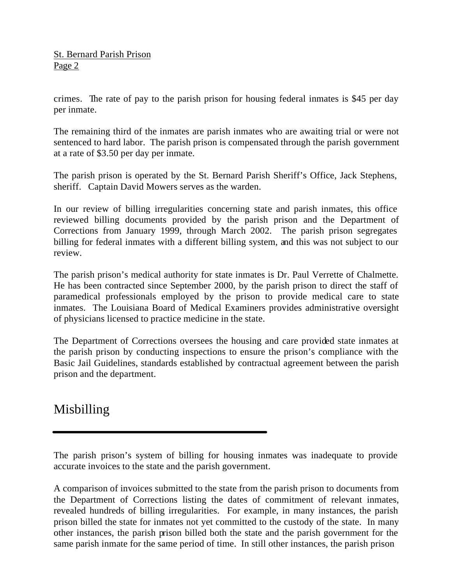crimes. The rate of pay to the parish prison for housing federal inmates is \$45 per day per inmate.

The remaining third of the inmates are parish inmates who are awaiting trial or were not sentenced to hard labor. The parish prison is compensated through the parish government at a rate of \$3.50 per day per inmate.

The parish prison is operated by the St. Bernard Parish Sheriff's Office, Jack Stephens, sheriff. Captain David Mowers serves as the warden.

In our review of billing irregularities concerning state and parish inmates, this office reviewed billing documents provided by the parish prison and the Department of Corrections from January 1999, through March 2002. The parish prison segregates billing for federal inmates with a different billing system, and this was not subject to our review.

The parish prison's medical authority for state inmates is Dr. Paul Verrette of Chalmette. He has been contracted since September 2000, by the parish prison to direct the staff of paramedical professionals employed by the prison to provide medical care to state inmates. The Louisiana Board of Medical Examiners provides administrative oversight of physicians licensed to practice medicine in the state.

The Department of Corrections oversees the housing and care provided state inmates at the parish prison by conducting inspections to ensure the prison's compliance with the Basic Jail Guidelines, standards established by contractual agreement between the parish prison and the department.

# Misbilling

The parish prison's system of billing for housing inmates was inadequate to provide accurate invoices to the state and the parish government.

A comparison of invoices submitted to the state from the parish prison to documents from the Department of Corrections listing the dates of commitment of relevant inmates, revealed hundreds of billing irregularities. For example, in many instances, the parish prison billed the state for inmates not yet committed to the custody of the state. In many other instances, the parish prison billed both the state and the parish government for the same parish inmate for the same period of time. In still other instances, the parish prison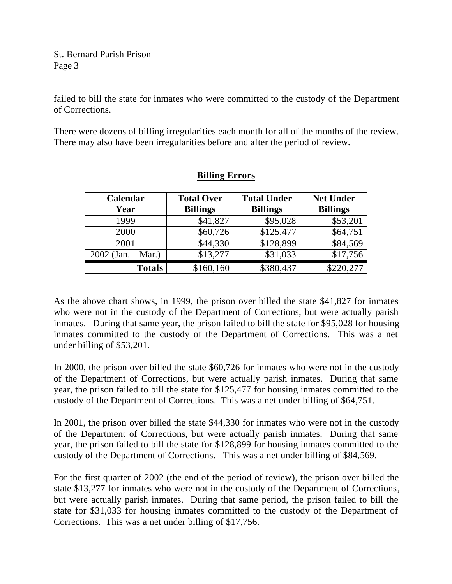failed to bill the state for inmates who were committed to the custody of the Department of Corrections.

There were dozens of billing irregularities each month for all of the months of the review. There may also have been irregularities before and after the period of review.

| Calendar             | <b>Total Over</b> | <b>Total Under</b> | <b>Net Under</b> |
|----------------------|-------------------|--------------------|------------------|
| Year                 | <b>Billings</b>   | <b>Billings</b>    | <b>Billings</b>  |
| 1999                 | \$41,827          | \$95,028           | \$53,201         |
| 2000                 | \$60,726          | \$125,477          | \$64,751         |
| 2001                 | \$44,330          | \$128,899          | \$84,569         |
| $2002$ (Jan. – Mar.) | \$13,277          | \$31,033           | \$17,756         |
| <b>Totals</b>        | \$160,160         | \$380,437          | \$220,277        |

## **Billing Errors**

As the above chart shows, in 1999, the prison over billed the state \$41,827 for inmates who were not in the custody of the Department of Corrections, but were actually parish inmates. During that same year, the prison failed to bill the state for \$95,028 for housing inmates committed to the custody of the Department of Corrections. This was a net under billing of \$53,201.

In 2000, the prison over billed the state \$60,726 for inmates who were not in the custody of the Department of Corrections, but were actually parish inmates. During that same year, the prison failed to bill the state for \$125,477 for housing inmates committed to the custody of the Department of Corrections. This was a net under billing of \$64,751.

In 2001, the prison over billed the state \$44,330 for inmates who were not in the custody of the Department of Corrections, but were actually parish inmates. During that same year, the prison failed to bill the state for \$128,899 for housing inmates committed to the custody of the Department of Corrections. This was a net under billing of \$84,569.

For the first quarter of 2002 (the end of the period of review), the prison over billed the state \$13,277 for inmates who were not in the custody of the Department of Corrections, but were actually parish inmates. During that same period, the prison failed to bill the state for \$31,033 for housing inmates committed to the custody of the Department of Corrections. This was a net under billing of \$17,756.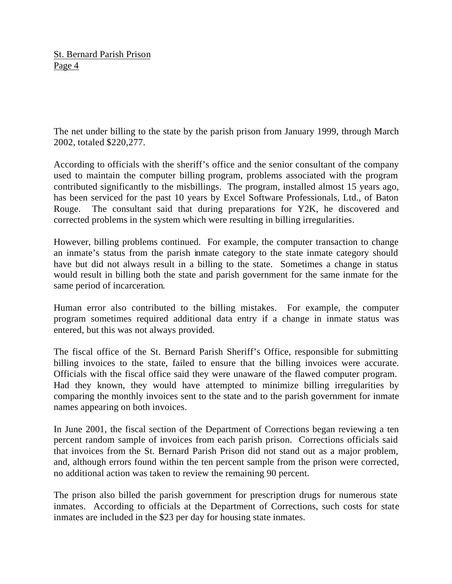The net under billing to the state by the parish prison from January 1999, through March 2002, totaled \$220,277.

According to officials with the sheriff's office and the senior consultant of the company used to maintain the computer billing program, problems associated with the program contributed significantly to the misbillings. The program, installed almost 15 years ago, has been serviced for the past 10 years by Excel Software Professionals, Ltd., of Baton Rouge. The consultant said that during preparations for Y2K, he discovered and corrected problems in the system which were resulting in billing irregularities.

However, billing problems continued. For example, the computer transaction to change an inmate's status from the parish inmate category to the state inmate category should have but did not always result in a billing to the state. Sometimes a change in status would result in billing both the state and parish government for the same inmate for the same period of incarceration.

Human error also contributed to the billing mistakes. For example, the computer program sometimes required additional data entry if a change in inmate status was entered, but this was not always provided.

The fiscal office of the St. Bernard Parish Sheriff's Office, responsible for submitting billing invoices to the state, failed to ensure that the billing invoices were accurate. Officials with the fiscal office said they were unaware of the flawed computer program. Had they known, they would have attempted to minimize billing irregularities by comparing the monthly invoices sent to the state and to the parish government for inmate names appearing on both invoices.

In June 2001, the fiscal section of the Department of Corrections began reviewing a ten percent random sample of invoices from each parish prison. Corrections officials said that invoices from the St. Bernard Parish Prison did not stand out as a major problem, and, although errors found within the ten percent sample from the prison were corrected, no additional action was taken to review the remaining 90 percent.

The prison also billed the parish government for prescription drugs for numerous state inmates. According to officials at the Department of Corrections, such costs for state inmates are included in the \$23 per day for housing state inmates.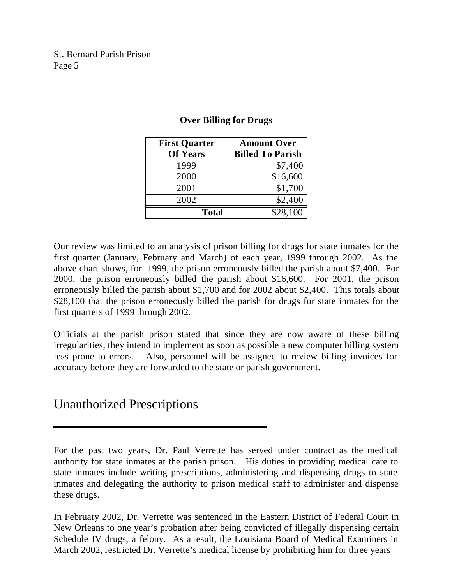| <b>First Quarter</b> | <b>Amount Over</b>      |
|----------------------|-------------------------|
| <b>Of Years</b>      | <b>Billed To Parish</b> |
| 1999                 | \$7,400                 |
| 2000                 | \$16,600                |
| 2001                 | \$1,700                 |
| 2002                 | \$2,400                 |
| <b>Total</b>         | \$28,100                |

#### **Over Billing for Drugs**

Our review was limited to an analysis of prison billing for drugs for state inmates for the first quarter (January, February and March) of each year, 1999 through 2002. As the above chart shows, for 1999, the prison erroneously billed the parish about \$7,400. For 2000, the prison erroneously billed the parish about \$16,600. For 2001, the prison erroneously billed the parish about \$1,700 and for 2002 about \$2,400. This totals about \$28,100 that the prison erroneously billed the parish for drugs for state inmates for the first quarters of 1999 through 2002.

Officials at the parish prison stated that since they are now aware of these billing irregularities, they intend to implement as soon as possible a new computer billing system less prone to errors. Also, personnel will be assigned to review billing invoices for accuracy before they are forwarded to the state or parish government.

# Unauthorized Prescriptions

In February 2002, Dr. Verrette was sentenced in the Eastern District of Federal Court in New Orleans to one year's probation after being convicted of illegally dispensing certain Schedule IV drugs, a felony. As a result, the Louisiana Board of Medical Examiners in March 2002, restricted Dr. Verrette's medical license by prohibiting him for three years

For the past two years, Dr. Paul Verrette has served under contract as the medical authority for state inmates at the parish prison. His duties in providing medical care to state inmates include writing prescriptions, administering and dispensing drugs to state inmates and delegating the authority to prison medical staff to administer and dispense these drugs.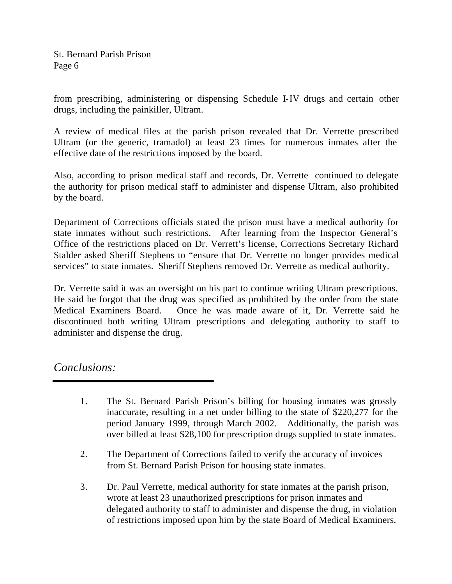from prescribing, administering or dispensing Schedule I-IV drugs and certain other drugs, including the painkiller, Ultram.

A review of medical files at the parish prison revealed that Dr. Verrette prescribed Ultram (or the generic, tramadol) at least 23 times for numerous inmates after the effective date of the restrictions imposed by the board.

Also, according to prison medical staff and records, Dr. Verrette continued to delegate the authority for prison medical staff to administer and dispense Ultram, also prohibited by the board.

Department of Corrections officials stated the prison must have a medical authority for state inmates without such restrictions. After learning from the Inspector General's Office of the restrictions placed on Dr. Verrett's license, Corrections Secretary Richard Stalder asked Sheriff Stephens to "ensure that Dr. Verrette no longer provides medical services" to state inmates. Sheriff Stephens removed Dr. Verrette as medical authority.

Dr. Verrette said it was an oversight on his part to continue writing Ultram prescriptions. He said he forgot that the drug was specified as prohibited by the order from the state Medical Examiners Board. Once he was made aware of it, Dr. Verrette said he discontinued both writing Ultram prescriptions and delegating authority to staff to administer and dispense the drug.

*Conclusions:*

- 1. The St. Bernard Parish Prison's billing for housing inmates was grossly inaccurate, resulting in a net under billing to the state of \$220,277 for the period January 1999, through March 2002. Additionally, the parish was over billed at least \$28,100 for prescription drugs supplied to state inmates.
- 2. The Department of Corrections failed to verify the accuracy of invoices from St. Bernard Parish Prison for housing state inmates.
- 3. Dr. Paul Verrette, medical authority for state inmates at the parish prison, wrote at least 23 unauthorized prescriptions for prison inmates and delegated authority to staff to administer and dispense the drug, in violation of restrictions imposed upon him by the state Board of Medical Examiners.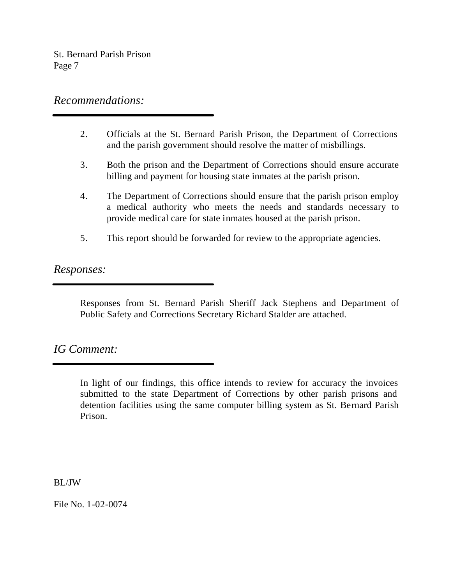# *Recommendations:*

- 2. Officials at the St. Bernard Parish Prison, the Department of Corrections and the parish government should resolve the matter of misbillings.
- 3. Both the prison and the Department of Corrections should ensure accurate billing and payment for housing state inmates at the parish prison.
- 4. The Department of Corrections should ensure that the parish prison employ a medical authority who meets the needs and standards necessary to provide medical care for state inmates housed at the parish prison.
- 5. This report should be forwarded for review to the appropriate agencies.

*Responses:*

Responses from St. Bernard Parish Sheriff Jack Stephens and Department of Public Safety and Corrections Secretary Richard Stalder are attached.

# *IG Comment:*

In light of our findings, this office intends to review for accuracy the invoices submitted to the state Department of Corrections by other parish prisons and detention facilities using the same computer billing system as St. Bernard Parish Prison.

BL/JW

File No. 1-02-0074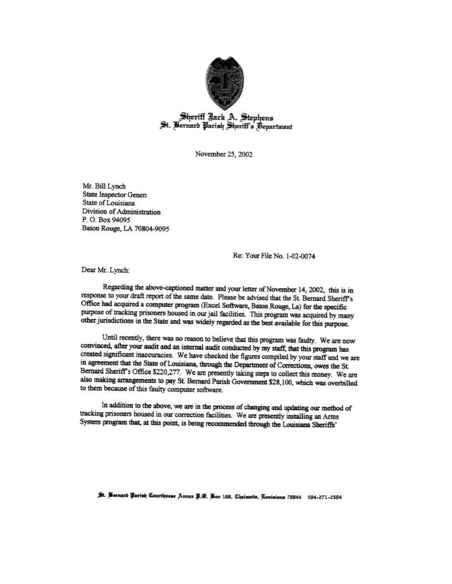

Sheriff Jack A. Stephens<br>St. Bernard Parish Sheriff's Bepartment

November 25, 2002

Mr. Bill Lynch State Inspector Genera State of Louisiana Division of Administration P.O. Box 94095 Baton Rouge, LA 70804-9095

Re: Your File No. 1-02-0074

Dear Mr. Lynch:

Regarding the above-captioned matter and your letter of November 14, 2002, this is in response to your draft report of the same date. Please be advised that the St. Bernard Sheriff's Office had acquired a computer program (Excel Software, Baton Rouge, La) for the specific purpose of tracking prisoners housed in our jail facilities. This program was acquired by many other jurisdictions in the State and was widely regarded as the best available for this purpose.

Until recently, there was no reason to believe that this program was faulty. We are now convinced, after your audit and an internal audit conducted by my staff, that this program has created significant inaccuracies. We have checked the figures compiled by your staff and we are in agreement that the State of Louisiana, through the Department of Corrections, owes the St. Bernard Sheriff's Office \$220,277. We are presently taking steps to collect this money. We are also making arrangements to pay St. Bernard Parish Government \$28,100, which was overbilled to them because of this faulty computer software.

In addition to the above, we are in the process of changing and updating our method of tracking prisoners housed in our correction facilities. We are presently installing an Arms System program that, at this point, is being recommended through the Louisiana Sheriffs'

St. Bernard Parish Courthouse Annex P. O. Box 158, Chaimette, Touisiana 70044 504-271-2504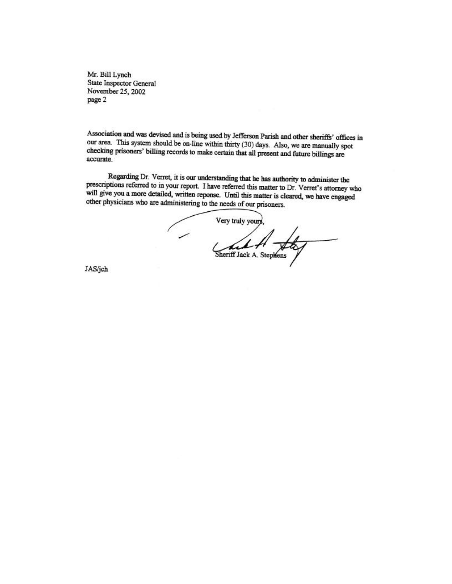Mr. Bill Lynch State Inspector General November 25, 2002 page 2

Association and was devised and is being used by Jefferson Parish and other sheriffs' offices in our area. This system should be on-line within thirty (30) days. Also, we are manually spot checking prisoners' billing records to make certain that all present and future billings are accurate.

Regarding Dr. Verret, it is our understanding that he has authority to administer the prescriptions referred to in your report. I have referred this matter to Dr. Verret's attorney who will give you a more detailed, written reponse. Until this matter is cleared, we have engaged other physicians who are administering to the needs of our prisoners.

Very truly yours, child Sheriff Jack A. Stephens

JAS/jch